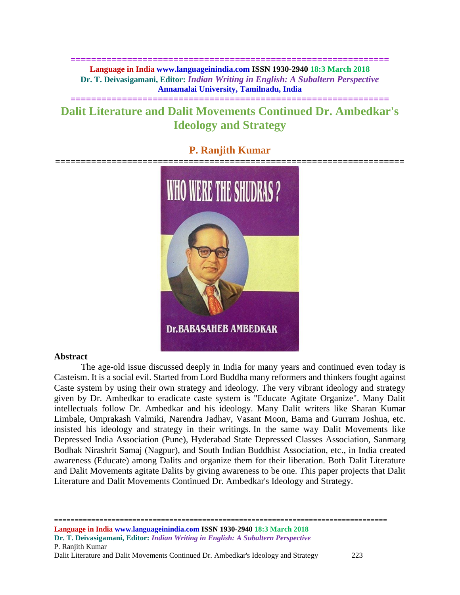**============================================================== Language in India www.languageinindia.com ISSN 1930-2940 18:3 March 2018 Dr. T. Deivasigamani, Editor:** *Indian Writing in English: A Subaltern Perspective* **Annamalai University, Tamilnadu, India**

# **Dalit Literature and Dalit Movements Continued Dr. Ambedkar's Ideology and Strategy**

**==============================================================**

### **P. Ranjith Kumar**



#### **Abstract**

The age-old issue discussed deeply in India for many years and continued even today is Casteism. It is a social evil. Started from Lord Buddha many reformers and thinkers fought against Caste system by using their own strategy and ideology. The very vibrant ideology and strategy given by Dr. Ambedkar to eradicate caste system is "Educate Agitate Organize". Many Dalit intellectuals follow Dr. Ambedkar and his ideology. Many Dalit writers like Sharan Kumar Limbale, Omprakash Valmiki, Narendra Jadhav, Vasant Moon, Bama and Gurram Joshua, etc. insisted his ideology and strategy in their writings. In the same way Dalit Movements like Depressed India Association (Pune), Hyderabad State Depressed Classes Association, Sanmarg Bodhak Nirashrit Samaj (Nagpur), and South Indian Buddhist Association, etc., in India created awareness (Educate) among Dalits and organize them for their liberation. Both Dalit Literature and Dalit Movements agitate Dalits by giving awareness to be one. This paper projects that Dalit Literature and Dalit Movements Continued Dr. Ambedkar's Ideology and Strategy.

================================================================================= **Language in India www.languageinindia.com ISSN 1930-2940 18:3 March 2018 Dr. T. Deivasigamani, Editor:** *Indian Writing in English: A Subaltern Perspective* P. Ranjith Kumar Dalit Literature and Dalit Movements Continued Dr. Ambedkar's Ideology and Strategy 223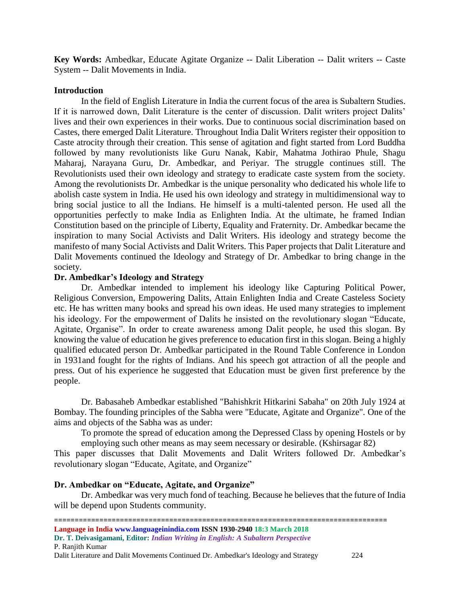**Key Words:** Ambedkar, Educate Agitate Organize -- Dalit Liberation -- Dalit writers -- Caste System -- Dalit Movements in India.

#### **Introduction**

In the field of English Literature in India the current focus of the area is Subaltern Studies. If it is narrowed down, Dalit Literature is the center of discussion. Dalit writers project Dalits' lives and their own experiences in their works. Due to continuous social discrimination based on Castes, there emerged Dalit Literature. Throughout India Dalit Writers register their opposition to Caste atrocity through their creation. This sense of agitation and fight started from Lord Buddha followed by many revolutionists like Guru Nanak, Kabir, Mahatma Jothirao Phule, Shagu Maharaj, Narayana Guru, Dr. Ambedkar, and Periyar. The struggle continues still. The Revolutionists used their own ideology and strategy to eradicate caste system from the society. Among the revolutionists Dr. Ambedkar is the unique personality who dedicated his whole life to abolish caste system in India. He used his own ideology and strategy in multidimensional way to bring social justice to all the Indians. He himself is a multi-talented person. He used all the opportunities perfectly to make India as Enlighten India. At the ultimate, he framed Indian Constitution based on the principle of Liberty, Equality and Fraternity. Dr. Ambedkar became the inspiration to many Social Activists and Dalit Writers. His ideology and strategy become the manifesto of many Social Activists and Dalit Writers. This Paper projects that Dalit Literature and Dalit Movements continued the Ideology and Strategy of Dr. Ambedkar to bring change in the society.

#### **Dr. Ambedkar's Ideology and Strategy**

Dr. Ambedkar intended to implement his ideology like Capturing Political Power, Religious Conversion, Empowering Dalits, Attain Enlighten India and Create Casteless Society etc. He has written many books and spread his own ideas. He used many strategies to implement his ideology. For the empowerment of Dalits he insisted on the revolutionary slogan "Educate, Agitate, Organise". In order to create awareness among Dalit people, he used this slogan. By knowing the value of education he gives preference to education first in this slogan. Being a highly qualified educated person Dr. Ambedkar participated in the Round Table Conference in London in 1931and fought for the rights of Indians. And his speech got attraction of all the people and press. Out of his experience he suggested that Education must be given first preference by the people.

Dr. Babasaheb Ambedkar established "Bahishkrit Hitkarini Sabaha" on 20th July 1924 at Bombay. The founding principles of the Sabha were "Educate, Agitate and Organize". One of the aims and objects of the Sabha was as under:

To promote the spread of education among the Depressed Class by opening Hostels or by employing such other means as may seem necessary or desirable. (Kshirsagar 82)

This paper discusses that Dalit Movements and Dalit Writers followed Dr. Ambedkar's revolutionary slogan "Educate, Agitate, and Organize"

#### **Dr. Ambedkar on "Educate, Agitate, and Organize"**

Dr. Ambedkar was very much fond of teaching. Because he believes that the future of India will be depend upon Students community.

- ================================================================================= **Language in India www.languageinindia.com ISSN 1930-2940 18:3 March 2018**
- **Dr. T. Deivasigamani, Editor:** *Indian Writing in English: A Subaltern Perspective* P. Ranjith Kumar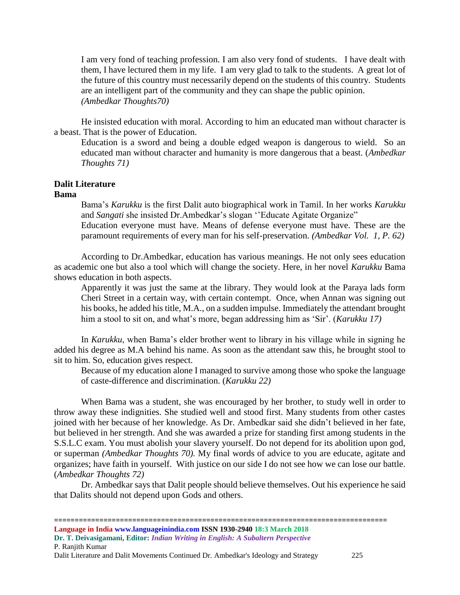I am very fond of teaching profession. I am also very fond of students. I have dealt with them, I have lectured them in my life. I am very glad to talk to the students. A great lot of the future of this country must necessarily depend on the students of this country. Students are an intelligent part of the community and they can shape the public opinion. *(Ambedkar Thoughts70)*

He insisted education with moral. According to him an educated man without character is a beast. That is the power of Education.

Education is a sword and being a double edged weapon is dangerous to wield. So an educated man without character and humanity is more dangerous that a beast. (*Ambedkar Thoughts 71)*

## **Dalit Literature**

### **Bama**

Bama's *Karukku* is the first Dalit auto biographical work in Tamil. In her works *Karukku* and *Sangati* she insisted Dr.Ambedkar's slogan ''Educate Agitate Organize"

Education everyone must have. Means of defense everyone must have. These are the paramount requirements of every man for his self-preservation. *(Ambedkar Vol. 1, P. 62)*

According to Dr.Ambedkar, education has various meanings. He not only sees education as academic one but also a tool which will change the society. Here, in her novel *Karukku* Bama shows education in both aspects.

Apparently it was just the same at the library. They would look at the Paraya lads form Cheri Street in a certain way, with certain contempt. Once, when Annan was signing out his books, he added his title, M.A., on a sudden impulse. Immediately the attendant brought him a stool to sit on, and what's more, began addressing him as 'Sir'. (*Karukku 17)*

In *Karukku*, when Bama's elder brother went to library in his village while in signing he added his degree as M.A behind his name. As soon as the attendant saw this, he brought stool to sit to him. So, education gives respect.

Because of my education alone I managed to survive among those who spoke the language of caste-difference and discrimination. (*Karukku 22)*

When Bama was a student, she was encouraged by her brother, to study well in order to throw away these indignities. She studied well and stood first. Many students from other castes joined with her because of her knowledge. As Dr. Ambedkar said she didn't believed in her fate, but believed in her strength. And she was awarded a prize for standing first among students in the S.S.L.C exam. You must abolish your slavery yourself. Do not depend for its abolition upon god, or superman *(Ambedkar Thoughts 70).* My final words of advice to you are educate, agitate and organizes; have faith in yourself. With justice on our side I do not see how we can lose our battle. (*Ambedkar Thoughts 72)*

Dr. Ambedkar says that Dalit people should believe themselves. Out his experience he said that Dalits should not depend upon Gods and others.

================================================================================= **Language in India www.languageinindia.com ISSN 1930-2940 18:3 March 2018 Dr. T. Deivasigamani, Editor:** *Indian Writing in English: A Subaltern Perspective* P. Ranjith Kumar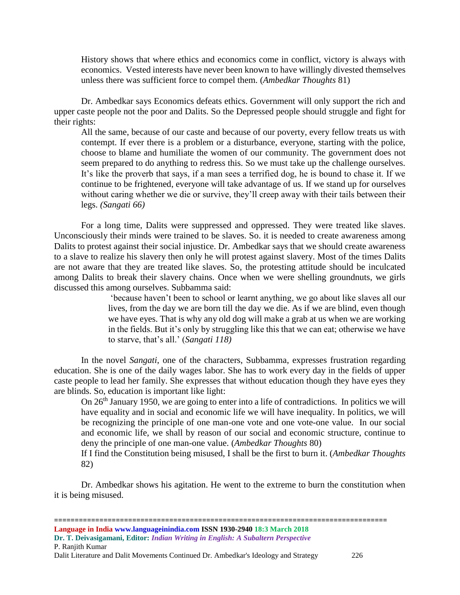History shows that where ethics and economics come in conflict, victory is always with economics. Vested interests have never been known to have willingly divested themselves unless there was sufficient force to compel them. (*Ambedkar Thoughts* 81)

Dr. Ambedkar says Economics defeats ethics. Government will only support the rich and upper caste people not the poor and Dalits. So the Depressed people should struggle and fight for their rights:

All the same, because of our caste and because of our poverty, every fellow treats us with contempt. If ever there is a problem or a disturbance, everyone, starting with the police, choose to blame and humiliate the women of our community. The government does not seem prepared to do anything to redress this. So we must take up the challenge ourselves. It's like the proverb that says, if a man sees a terrified dog, he is bound to chase it. If we continue to be frightened, everyone will take advantage of us. If we stand up for ourselves without caring whether we die or survive, they'll creep away with their tails between their legs. *(Sangati 66)*

For a long time, Dalits were suppressed and oppressed. They were treated like slaves. Unconsciously their minds were trained to be slaves. So. it is needed to create awareness among Dalits to protest against their social injustice. Dr. Ambedkar says that we should create awareness to a slave to realize his slavery then only he will protest against slavery. Most of the times Dalits are not aware that they are treated like slaves. So, the protesting attitude should be inculcated among Dalits to break their slavery chains. Once when we were shelling groundnuts, we girls discussed this among ourselves. Subbamma said:

'because haven't been to school or learnt anything, we go about like slaves all our lives, from the day we are born till the day we die. As if we are blind, even though we have eyes. That is why any old dog will make a grab at us when we are working in the fields. But it's only by struggling like this that we can eat; otherwise we have to starve, that's all.' (*Sangati 118)*

In the novel *Sangati*, one of the characters, Subbamma, expresses frustration regarding education. She is one of the daily wages labor. She has to work every day in the fields of upper caste people to lead her family. She expresses that without education though they have eyes they are blinds. So, education is important like light:

On 26th January 1950, we are going to enter into a life of contradictions. In politics we will have equality and in social and economic life we will have inequality. In politics, we will be recognizing the principle of one man-one vote and one vote-one value. In our social and economic life, we shall by reason of our social and economic structure, continue to deny the principle of one man-one value. (*Ambedkar Thoughts* 80)

If I find the Constitution being misused, I shall be the first to burn it. (*Ambedkar Thoughts*  82)

Dr. Ambedkar shows his agitation. He went to the extreme to burn the constitution when it is being misused.

================================================================================= **Language in India www.languageinindia.com ISSN 1930-2940 18:3 March 2018 Dr. T. Deivasigamani, Editor:** *Indian Writing in English: A Subaltern Perspective* P. Ranjith Kumar Dalit Literature and Dalit Movements Continued Dr. Ambedkar's Ideology and Strategy 226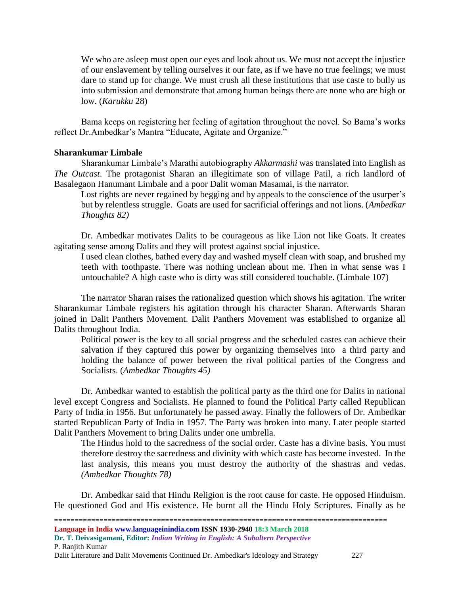We who are asleep must open our eyes and look about us. We must not accept the injustice of our enslavement by telling ourselves it our fate, as if we have no true feelings; we must dare to stand up for change. We must crush all these institutions that use caste to bully us into submission and demonstrate that among human beings there are none who are high or low. (*Karukku* 28)

Bama keeps on registering her feeling of agitation throughout the novel. So Bama's works reflect Dr.Ambedkar's Mantra "Educate, Agitate and Organize."

#### **Sharankumar Limbale**

Sharankumar Limbale's Marathi autobiography *Akkarmashi* was translated into English as *The Outcast*. The protagonist Sharan an illegitimate son of village Patil, a rich landlord of Basalegaon Hanumant Limbale and a poor Dalit woman Masamai, is the narrator.

Lost rights are never regained by begging and by appeals to the conscience of the usurper's but by relentless struggle. Goats are used for sacrificial offerings and not lions. (*Ambedkar Thoughts 82)*

Dr. Ambedkar motivates Dalits to be courageous as like Lion not like Goats. It creates agitating sense among Dalits and they will protest against social injustice.

I used clean clothes, bathed every day and washed myself clean with soap, and brushed my teeth with toothpaste. There was nothing unclean about me. Then in what sense was I untouchable? A high caste who is dirty was still considered touchable. (Limbale 107)

The narrator Sharan raises the rationalized question which shows his agitation. The writer Sharankumar Limbale registers his agitation through his character Sharan. Afterwards Sharan joined in Dalit Panthers Movement. Dalit Panthers Movement was established to organize all Dalits throughout India.

Political power is the key to all social progress and the scheduled castes can achieve their salvation if they captured this power by organizing themselves into a third party and holding the balance of power between the rival political parties of the Congress and Socialists. (*Ambedkar Thoughts 45)*

Dr. Ambedkar wanted to establish the political party as the third one for Dalits in national level except Congress and Socialists. He planned to found the Political Party called Republican Party of India in 1956. But unfortunately he passed away. Finally the followers of Dr. Ambedkar started Republican Party of India in 1957. The Party was broken into many. Later people started Dalit Panthers Movement to bring Dalits under one umbrella.

The Hindus hold to the sacredness of the social order. Caste has a divine basis. You must therefore destroy the sacredness and divinity with which caste has become invested. In the last analysis, this means you must destroy the authority of the shastras and vedas. *(Ambedkar Thoughts 78)*

Dr. Ambedkar said that Hindu Religion is the root cause for caste. He opposed Hinduism. He questioned God and His existence. He burnt all the Hindu Holy Scriptures. Finally as he

================================================================================= **Language in India www.languageinindia.com ISSN 1930-2940 18:3 March 2018 Dr. T. Deivasigamani, Editor:** *Indian Writing in English: A Subaltern Perspective* P. Ranjith Kumar

Dalit Literature and Dalit Movements Continued Dr. Ambedkar's Ideology and Strategy 227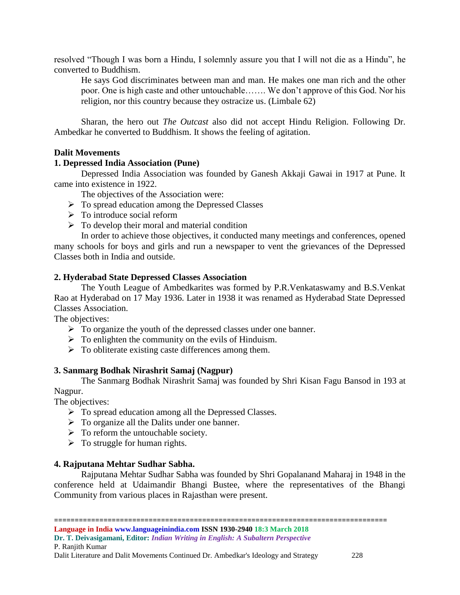resolved "Though I was born a Hindu, I solemnly assure you that I will not die as a Hindu", he converted to Buddhism.

He says God discriminates between man and man. He makes one man rich and the other poor. One is high caste and other untouchable……. We don't approve of this God. Nor his religion, nor this country because they ostracize us. (Limbale 62)

Sharan, the hero out *The Outcast* also did not accept Hindu Religion. Following Dr. Ambedkar he converted to Buddhism. It shows the feeling of agitation.

#### **Dalit Movements**

#### **1. Depressed India Association (Pune)**

Depressed India Association was founded by Ganesh Akkaji Gawai in 1917 at Pune. It came into existence in 1922.

The objectives of the Association were:

- ➢ To spread education among the Depressed Classes
- $\triangleright$  To introduce social reform
- $\triangleright$  To develop their moral and material condition

In order to achieve those objectives, it conducted many meetings and conferences, opened many schools for boys and girls and run a newspaper to vent the grievances of the Depressed Classes both in India and outside.

#### **2. Hyderabad State Depressed Classes Association**

The Youth League of Ambedkarites was formed by P.R.Venkataswamy and B.S.Venkat Rao at Hyderabad on 17 May 1936. Later in 1938 it was renamed as Hyderabad State Depressed Classes Association.

The objectives:

- ➢ To organize the youth of the depressed classes under one banner.
- $\triangleright$  To enlighten the community on the evils of Hinduism.
- ➢ To obliterate existing caste differences among them.

#### **3. Sanmarg Bodhak Nirashrit Samaj (Nagpur)**

The Sanmarg Bodhak Nirashrit Samaj was founded by Shri Kisan Fagu Bansod in 193 at Nagpur.

The objectives:

- ➢ To spread education among all the Depressed Classes.
- $\triangleright$  To organize all the Dalits under one banner.
- $\triangleright$  To reform the untouchable society.
- $\triangleright$  To struggle for human rights.

#### **4. Rajputana Mehtar Sudhar Sabha.**

Rajputana Mehtar Sudhar Sabha was founded by Shri Gopalanand Maharaj in 1948 in the conference held at Udaimandir Bhangi Bustee, where the representatives of the Bhangi Community from various places in Rajasthan were present.

=================================================================================

**Language in India www.languageinindia.com ISSN 1930-2940 18:3 March 2018 Dr. T. Deivasigamani, Editor:** *Indian Writing in English: A Subaltern Perspective* P. Ranjith Kumar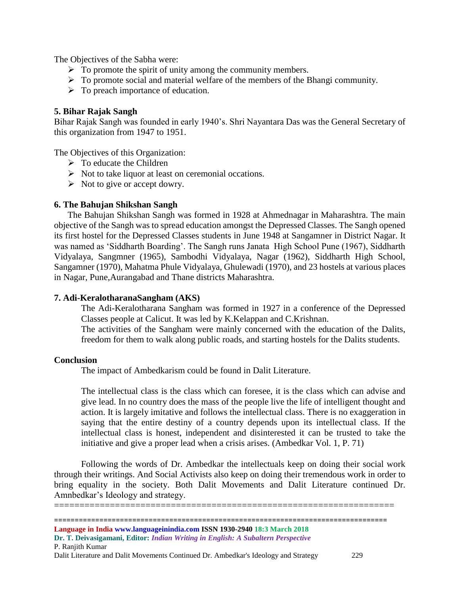The Objectives of the Sabha were:

- $\triangleright$  To promote the spirit of unity among the community members.
- ➢ To promote social and material welfare of the members of the Bhangi community.
- $\triangleright$  To preach importance of education.

#### **5. Bihar Rajak Sangh**

Bihar Rajak Sangh was founded in early 1940's. Shri Nayantara Das was the General Secretary of this organization from 1947 to 1951.

The Objectives of this Organization:

- $\triangleright$  To educate the Children
- ➢ Not to take liquor at least on ceremonial occations.
- $\triangleright$  Not to give or accept dowry.

#### **6. The Bahujan Shikshan Sangh**

The Bahujan Shikshan Sangh was formed in 1928 at Ahmednagar in Maharashtra. The main objective of the Sangh was to spread education amongst the Depressed Classes. The Sangh opened its first hostel for the Depressed Classes students in June 1948 at Sangamner in District Nagar. It was named as 'Siddharth Boarding'. The Sangh runs Janata High School Pune (1967), Siddharth Vidyalaya, Sangmner (1965), Sambodhi Vidyalaya, Nagar (1962), Siddharth High School, Sangamner (1970), Mahatma Phule Vidyalaya, Ghulewadi (1970), and 23 hostels at various places in Nagar, Pune,Aurangabad and Thane districts Maharashtra.

#### **7. Adi-KeralotharanaSangham (AKS)**

The Adi-Keralotharana Sangham was formed in 1927 in a conference of the Depressed Classes people at Calicut. It was led by K.Kelappan and C.Krishnan.

The activities of the Sangham were mainly concerned with the education of the Dalits, freedom for them to walk along public roads, and starting hostels for the Dalits students.

#### **Conclusion**

The impact of Ambedkarism could be found in Dalit Literature.

The intellectual class is the class which can foresee, it is the class which can advise and give lead. In no country does the mass of the people live the life of intelligent thought and action. It is largely imitative and follows the intellectual class. There is no exaggeration in saying that the entire destiny of a country depends upon its intellectual class. If the intellectual class is honest, independent and disinterested it can be trusted to take the initiative and give a proper lead when a crisis arises. (Ambedkar Vol. 1, P. 71)

Following the words of Dr. Ambedkar the intellectuals keep on doing their social work through their writings. And Social Activists also keep on doing their tremendous work in order to bring equality in the society. Both Dalit Movements and Dalit Literature continued Dr. Amnbedkar's Ideology and strategy.

================================================================================= **Language in India www.languageinindia.com ISSN 1930-2940 18:3 March 2018**  ===================================================================

**Dr. T. Deivasigamani, Editor:** *Indian Writing in English: A Subaltern Perspective* P. Ranjith Kumar

Dalit Literature and Dalit Movements Continued Dr. Ambedkar's Ideology and Strategy 229